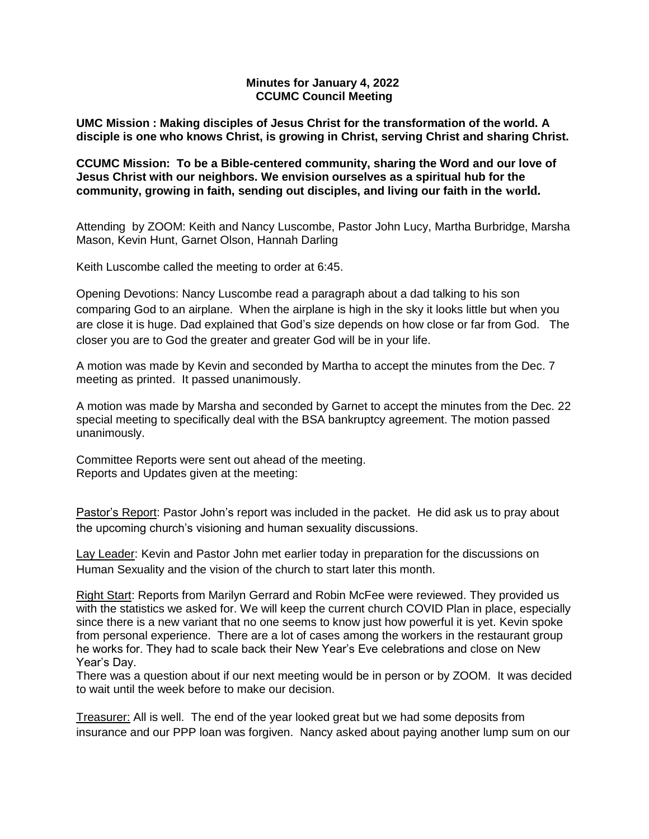## **Minutes for January 4, 2022 CCUMC Council Meeting**

**UMC Mission : Making disciples of Jesus Christ for the transformation of the world. A disciple is one who knows Christ, is growing in Christ, serving Christ and sharing Christ.**

**CCUMC Mission: To be a Bible-centered community, sharing the Word and our love of Jesus Christ with our neighbors. We envision ourselves as a spiritual hub for the community, growing in faith, sending out disciples, and living our faith in the world.**

Attending by ZOOM: Keith and Nancy Luscombe, Pastor John Lucy, Martha Burbridge, Marsha Mason, Kevin Hunt, Garnet Olson, Hannah Darling

Keith Luscombe called the meeting to order at 6:45.

Opening Devotions: Nancy Luscombe read a paragraph about a dad talking to his son comparing God to an airplane. When the airplane is high in the sky it looks little but when you are close it is huge. Dad explained that God's size depends on how close or far from God. The closer you are to God the greater and greater God will be in your life.

A motion was made by Kevin and seconded by Martha to accept the minutes from the Dec. 7 meeting as printed. It passed unanimously.

A motion was made by Marsha and seconded by Garnet to accept the minutes from the Dec. 22 special meeting to specifically deal with the BSA bankruptcy agreement. The motion passed unanimously.

Committee Reports were sent out ahead of the meeting. Reports and Updates given at the meeting:

Pastor's Report: Pastor John's report was included in the packet. He did ask us to pray about the upcoming church's visioning and human sexuality discussions.

Lay Leader: Kevin and Pastor John met earlier today in preparation for the discussions on Human Sexuality and the vision of the church to start later this month.

Right Start: Reports from Marilyn Gerrard and Robin McFee were reviewed. They provided us with the statistics we asked for. We will keep the current church COVID Plan in place, especially since there is a new variant that no one seems to know just how powerful it is yet. Kevin spoke from personal experience. There are a lot of cases among the workers in the restaurant group he works for. They had to scale back their New Year's Eve celebrations and close on New Year's Day.

There was a question about if our next meeting would be in person or by ZOOM. It was decided to wait until the week before to make our decision.

Treasurer: All is well. The end of the year looked great but we had some deposits from insurance and our PPP loan was forgiven. Nancy asked about paying another lump sum on our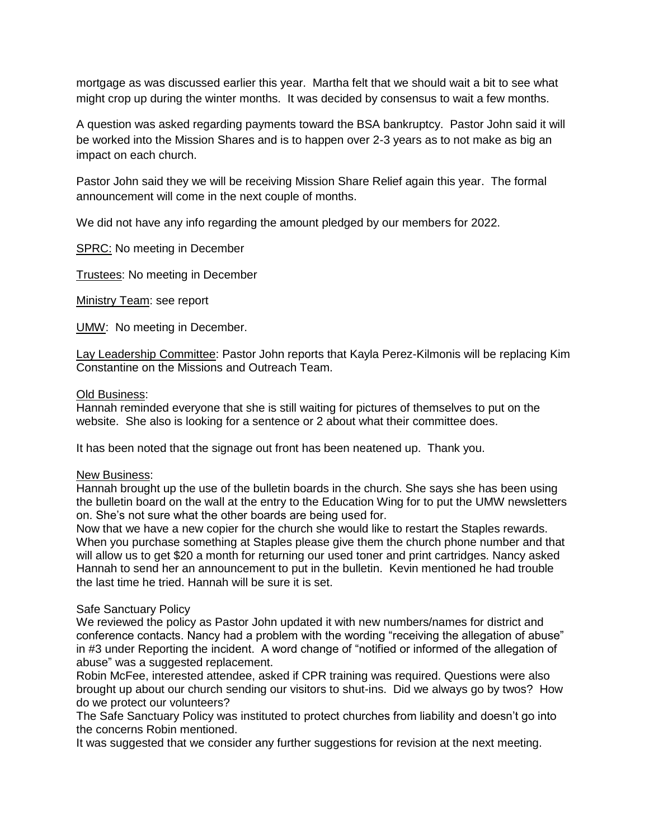mortgage as was discussed earlier this year. Martha felt that we should wait a bit to see what might crop up during the winter months. It was decided by consensus to wait a few months.

A question was asked regarding payments toward the BSA bankruptcy. Pastor John said it will be worked into the Mission Shares and is to happen over 2-3 years as to not make as big an impact on each church.

Pastor John said they we will be receiving Mission Share Relief again this year. The formal announcement will come in the next couple of months.

We did not have any info regarding the amount pledged by our members for 2022.

SPRC: No meeting in December

Trustees: No meeting in December

Ministry Team: see report

UMW: No meeting in December.

Lay Leadership Committee: Pastor John reports that Kayla Perez-Kilmonis will be replacing Kim Constantine on the Missions and Outreach Team.

## Old Business:

Hannah reminded everyone that she is still waiting for pictures of themselves to put on the website. She also is looking for a sentence or 2 about what their committee does.

It has been noted that the signage out front has been neatened up. Thank you.

## New Business:

Hannah brought up the use of the bulletin boards in the church. She says she has been using the bulletin board on the wall at the entry to the Education Wing for to put the UMW newsletters on. She's not sure what the other boards are being used for.

Now that we have a new copier for the church she would like to restart the Staples rewards. When you purchase something at Staples please give them the church phone number and that will allow us to get \$20 a month for returning our used toner and print cartridges. Nancy asked Hannah to send her an announcement to put in the bulletin. Kevin mentioned he had trouble the last time he tried. Hannah will be sure it is set.

## Safe Sanctuary Policy

We reviewed the policy as Pastor John updated it with new numbers/names for district and conference contacts. Nancy had a problem with the wording "receiving the allegation of abuse" in #3 under Reporting the incident. A word change of "notified or informed of the allegation of abuse" was a suggested replacement.

Robin McFee, interested attendee, asked if CPR training was required. Questions were also brought up about our church sending our visitors to shut-ins. Did we always go by twos? How do we protect our volunteers?

The Safe Sanctuary Policy was instituted to protect churches from liability and doesn't go into the concerns Robin mentioned.

It was suggested that we consider any further suggestions for revision at the next meeting.